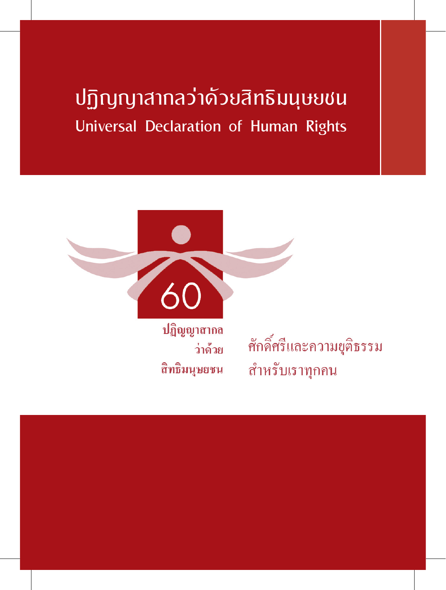# ปฏิญญาสากลว่าด้วยสิทธิมนุษยชน Universal Declaration of Human Rights



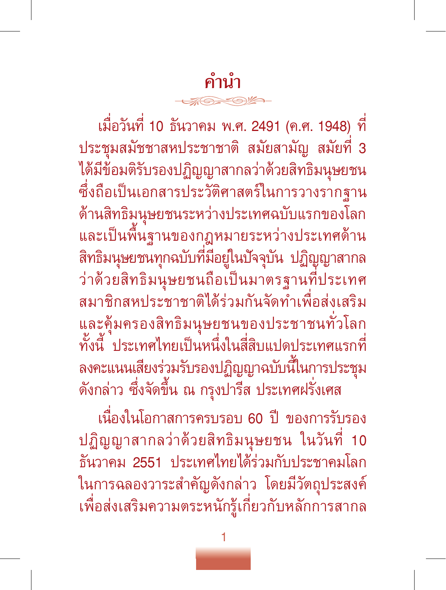# **คำบำ**

เมื่อวันที่ 10 ธันวาคม พ.ศ. 2491 (ค.ศ. 1948) ที่ ประชุมสมัชชาสหประชาชาติ สมัยสามัญ สมัยที่ 3 ได้มีข้อมติรับรองปฏิญญาสากลว่าด้วยสิทธิมนุษยชน ซึ่งถือเป็นเอกสารประวัติศาสตร์ในการวางรากฐาน ด้านสิทธิมนุษยชนระหว่างประเทศฉบับแรกของโลก และเป็นพื้นฐานของกฎหมายระหว่างประเทศด้าน สิทธิมนุษยชนทุกฉบับที่มีอยู่ในปัจจุบัน ปฏิญญาสากล ว่าด้วยสิทธิมนุษยชนถือเป็นมาตรฐานที่ประเทศ สมาชิกสหประชาชาติได้ร่วมกันจัดทำเพื่อส่งเสริม และคุ้มครองสิทธิมนุษยชนของประชาชนทั่วโลก ทั้งนี้ ประเทศไทยเป็นหนึ่งในสี่สิบแปดประเทศแรกที่ ลงคะแนนเสียงร่วมรับรองปฏิญญาฉบับนี้ในการประชุม ดังกล่าว ซึ่งจัดขึ้น ณ กรุงปารีส ประเทศฝรั่งเศส

เนื่องในโอกาสการครบรอบ 60 ปี ของการรับรอง ปฏิญญาสากลว่าด้วยสิทธิมนุษยชน ในวันที่ 10 ธันวาคม 2551 ประเทศไทยได้ร่วมกับประชาคมโลก ในการฉลองวาระสำคัญดังกล่าว โดยมีวัตถุประสงค์ เพื่อส่งเสริมความตระหนักรู้เกี่ยวกับหลักการสากล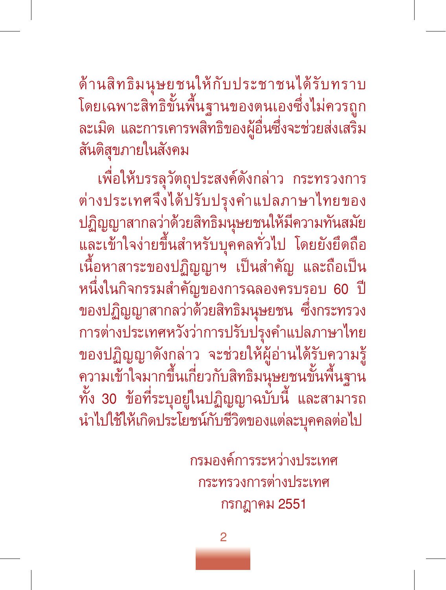ด้านสิทธิมนุษยชนให้กับประชาชนได้รับทราบ โดยเฉพาะสิทธิขั้นพื้นฐานของตนเองซึ่งไม่ควรถูก ละเมิด และการเคารพสิทธิของผู้อื่นซึ่งจะช่วยส่งเสริม สันติสุขภายในสังคม

เพื่อให้บรรลุวัตถุประสงค์ดังกล่าว กระทรวงการ ต่างประเทศจึงได้ปรับปรุงคำแปลภาษาไทยของ ปฏิญญาสากลว่าด้วยสิทธิมนุษยชนให้มีความทันสมัย และเข้าใจง่ายขึ้นสำหรับบุคคลทั่วไป โดยยังยึดถือ เนื้อหาสาระของปฏิญญาฯ เป็นสำคัญ และถือเป็น หนึ่งในกิจกรรมสำคัญของการฉลองครบรอบ 60 ปี ของปฏิญญาสากลว่าด้วยสิทธิมนุษยชน ซึ่งกระทรวง การต่างประเทศหวังว่าการปรับปรุงคำแปลภาษาไทย ของปฏิญญาดังกล่าว จะช่วยให้ผู้อ่านได้รับความรู้ ความเข้าใจมากขึ้นเกี่ยวกับสิทธิมนุษยชนขั้นพื้นฐาน ทั้ง 30 ข้อที่ระบุอยู่ในปฏิญญาฉบับนี้ และสามารถ นำไปใช้ให้เกิดประโยชน์กับชีวิตของแต่ละบุคคลต่อไป

> กรมองค์การระหว่างประเทศ กระทรวงการต่างประเทศ กรกฎาคม 2551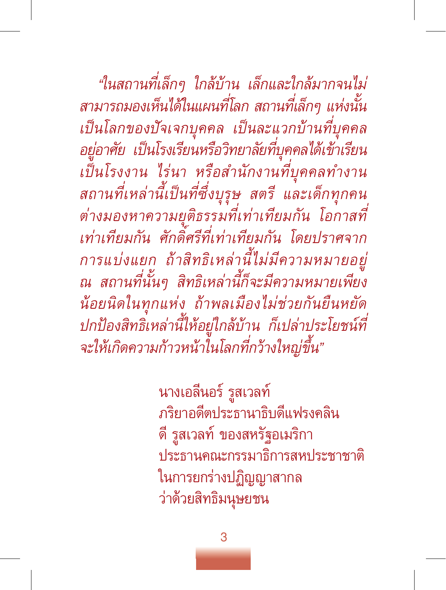*"ในสถานที่เล็กๆ ใกล้บ้าน เล็กและใกล้มากจนไม่ สามารถมองเห็นได้ในแผนที่โลก สถานที่เล็กๆ แห่งนั้น เป็นโลกของปัจเจกบุคคล เป็นละแวกบ้านที่บุคคล อยู่อาศัย เป็นโรงเรียนหรือวิทยาลัยที่บุคคลได้เข้าเรียน เป็นโรงงาน ไร่นา หรือสำนักงานที่บุคคลทำงาน สถานที่เหล่านี้เป็นที่ซึ่งบุรุษ สตรี และเด็กทุกคน ต่างมองหาความยุติธรรมที่เท่าเทียมกัน โอกาสที่ เท่าเทียมกัน ศักดิ์ศรีที่เท่าเทียมกัน โดยปราศจาก การแบ่งแยก ถ้าสิทธิเหล่านี้ไม่มีความหมายอยู่ ณ สถานที่นั้นๆ สิทธิเหล่านี้ก็จะมีความหมายเพียง น้อยนิดในทุกแห่ง ถ้าพลเมืองไม่ช่วยกันยืนหยัด ปกป้องสิทธิเหล่านี้ให้อยู่ใกล้บ้าน ก็เปล่าประโยชน์ที่ จะให้เกิดความก้าวหน้าในโลกที่กว้างใหญ่ขึ้น"*

> นางเอลีนอร์ รูสเวลท์ ภริยาอดีตประธานาธิบดีแฟรงคลิน ดี รูสเวลท์ ของสหรัฐอเมริกา ประธานคณะกรรมาธิการสหประชาชาติ ในการยกร่างปฏิญญาสากล ว่าด้วยสิทธิมนุษยชน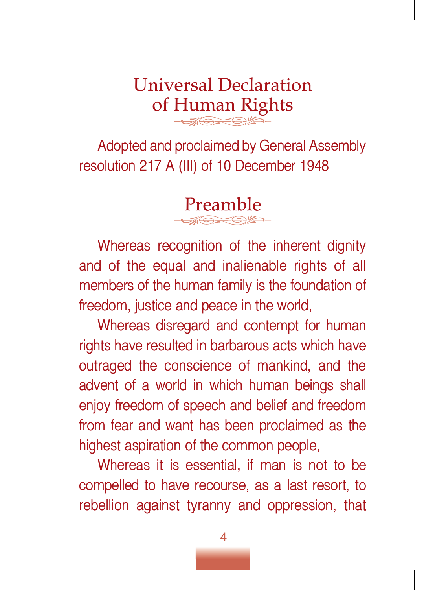# **Universal Declaration of Human Rights**

Adopted and proclaimed by General Assembly resolution 217 A (III) of 10 December 1948

**Preamble**

Whereas recognition of the inherent dignity and of the equal and inalienable rights of all members of the human family is the foundation of freedom, justice and peace in the world,

Whereas disregard and contempt for human rights have resulted in barbarous acts which have outraged the conscience of mankind, and the advent of a world in which human beings shall enjoy freedom of speech and belief and freedom from fear and want has been proclaimed as the highest aspiration of the common people,

Whereas it is essential, if man is not to be compelled to have recourse, as a last resort, to rebellion against tyranny and oppression, that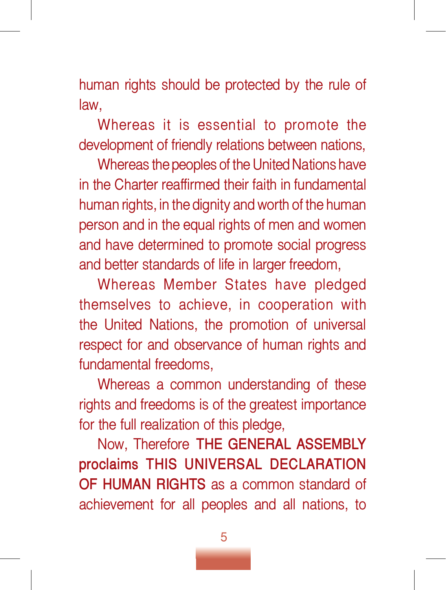human rights should be protected by the rule of law,

Whereas it is essential to promote the development of friendly relations between nations,

Whereas the peoples of the United Nations have in the Charter reaffirmed their faith in fundamental human rights, in the dignity and worth of the human person and in the equal rights of men and women and have determined to promote social progress and better standards of life in larger freedom,

Whereas Member States have pledged themselves to achieve, in cooperation with the United Nations, the promotion of universal respect for and observance of human rights and fundamental freedoms,

Whereas a common understanding of these rights and freedoms is of the greatest importance for the full realization of this pledge,

Now, Therefore **THE GENERAL ASSEMBLY proclaims THIS UNIVERSAL DECLARATION OF HUMAN RIGHTS** as a common standard of achievement for all peoples and all nations, to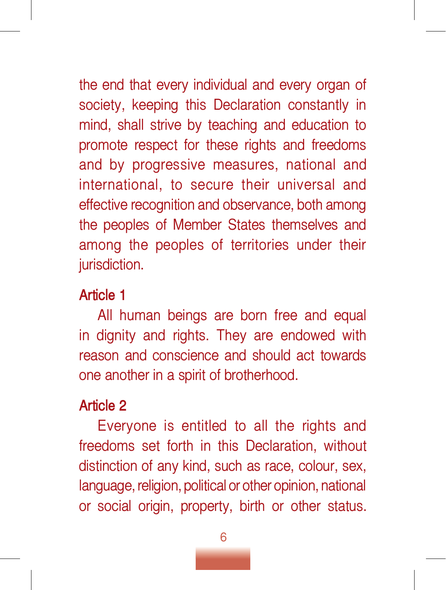the end that every individual and every organ of society, keeping this Declaration constantly in mind, shall strive by teaching and education to promote respect for these rights and freedoms and by progressive measures, national and international, to secure their universal and effective recognition and observance, both among the peoples of Member States themselves and among the peoples of territories under their jurisdiction.

#### **Article 1**

All human beings are born free and equal in dignity and rights. They are endowed with reason and conscience and should act towards one another in a spirit of brotherhood.

# **Article 2**

Everyone is entitled to all the rights and freedoms set forth in this Declaration, without distinction of any kind, such as race, colour, sex, language, religion, political or other opinion, national or social origin, property, birth or other status.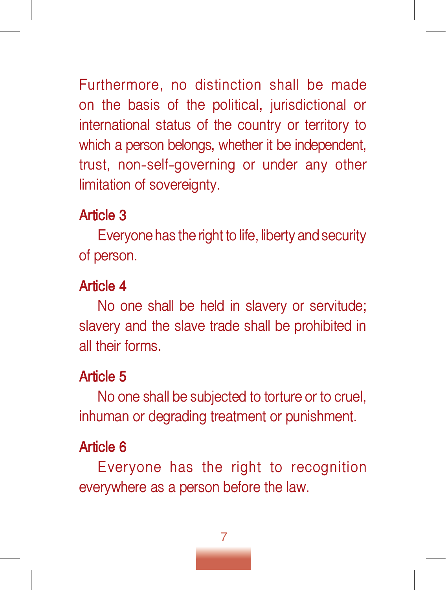Furthermore, no distinction shall be made on the basis of the political, jurisdictional or international status of the country or territory to which a person belongs, whether it be independent, trust, non-self-governing or under any other limitation of sovereignty.

#### **Article 3**

Everyone has the right to life, liberty and security of person.

# **Article 4**

No one shall be held in slavery or servitude; slavery and the slave trade shall be prohibited in all their forms.

# **Article 5**

No one shall be subjected to torture or to cruel, inhuman or degrading treatment or punishment.

# **Article 6**

Everyone has the right to recognition everywhere as a person before the law.

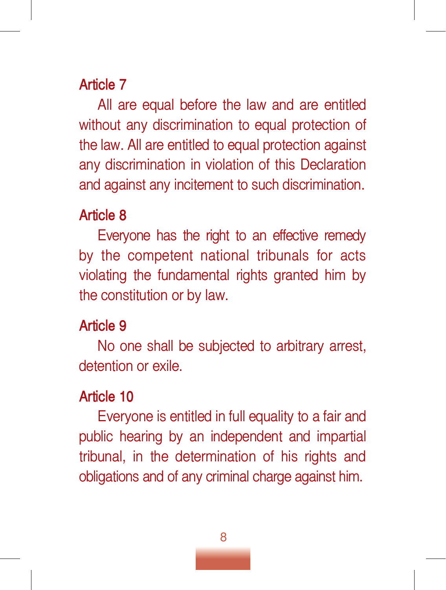All are equal before the law and are entitled without any discrimination to equal protection of the law. All are entitled to equal protection against any discrimination in violation of this Declaration and against any incitement to such discrimination.

#### **Article 8**

Everyone has the right to an effective remedy by the competent national tribunals for acts violating the fundamental rights granted him by the constitution or by law.

# **Article 9**

No one shall be subjected to arbitrary arrest, detention or exile.

# **Article 10**

Everyone is entitled in full equality to a fair and public hearing by an independent and impartial tribunal, in the determination of his rights and obligations and of any criminal charge against him.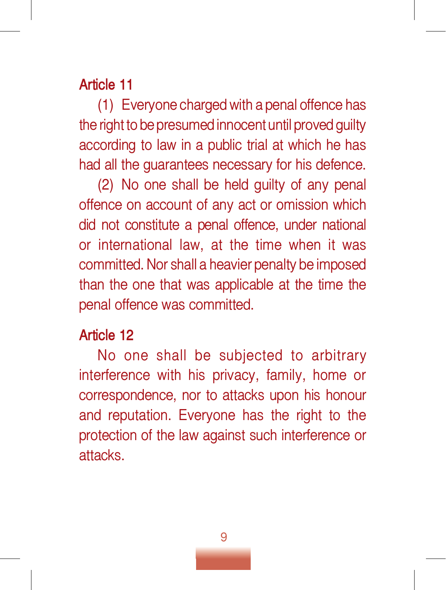(1) Everyone charged with a penal offence has the right to be presumed innocent until proved guilty according to law in a public trial at which he has had all the guarantees necessary for his defence.

(2) No one shall be held guilty of any penal offence on account of any act or omission which did not constitute a penal offence, under national or international law, at the time when it was committed. Nor shall a heavier penalty be imposed than the one that was applicable at the time the penal offence was committed.

#### **Article 12**

No one shall be subjected to arbitrary interference with his privacy, family, home or correspondence, nor to attacks upon his honour and reputation. Everyone has the right to the protection of the law against such interference or attacks.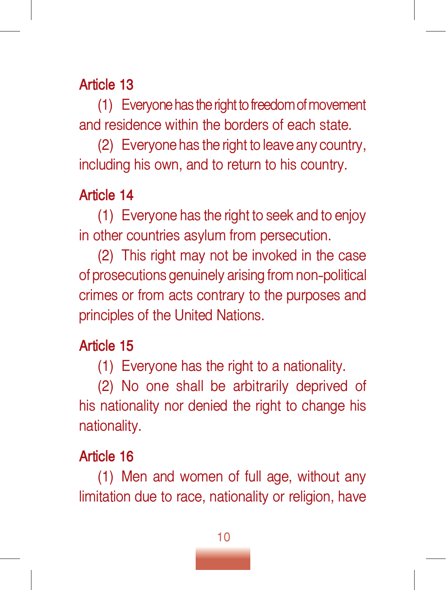(1) Everyone has the right to freedom of movement and residence within the borders of each state.

(2) Everyone has the right to leave any country, including his own, and to return to his country.

# **Article 14**

(1) Everyone has the right to seek and to enjoy in other countries asylum from persecution.

(2) This right may not be invoked in the case of prosecutions genuinely arising from non-political crimes or from acts contrary to the purposes and principles of the United Nations.

# **Article 15**

(1) Everyone has the right to a nationality.

(2) No one shall be arbitrarily deprived of his nationality nor denied the right to change his nationality.

# **Article 16**

(1) Men and women of full age, without any limitation due to race, nationality or religion, have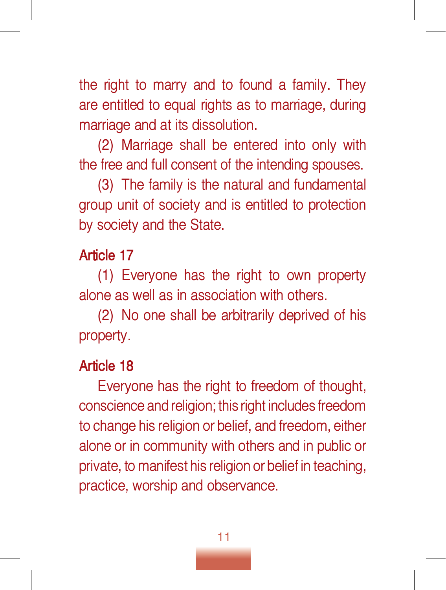the right to marry and to found a family. They are entitled to equal rights as to marriage, during marriage and at its dissolution.

(2) Marriage shall be entered into only with the free and full consent of the intending spouses.

(3) The family is the natural and fundamental group unit of society and is entitled to protection by society and the State.

#### **Article 17**

(1) Everyone has the right to own property alone as well as in association with others.

(2) No one shall be arbitrarily deprived of his property.

# **Article 18**

Everyone has the right to freedom of thought, conscience and religion; this right includes freedom to change his religion or belief, and freedom, either alone or in community with others and in public or private, to manifest his religion or belief in teaching, practice, worship and observance.

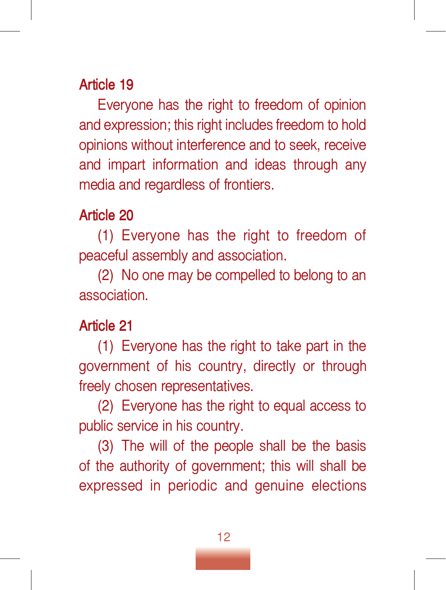Everyone has the right to freedom of opinion and expression; this right includes freedom to hold opinions without interference and to seek, receive and impart information and ideas through any media and regardless of frontiers.

#### **Article 20**

(1) Everyone has the right to freedom of peaceful assembly and association.

(2) No one may be compelled to belong to an association.

#### **Article 21**

(1) Everyone has the right to take part in the government of his country, directly or through freely chosen representatives.

(2) Everyone has the right to equal access to public service in his country.

(3) The will of the people shall be the basis of the authority of government; this will shall be expressed in periodic and genuine elections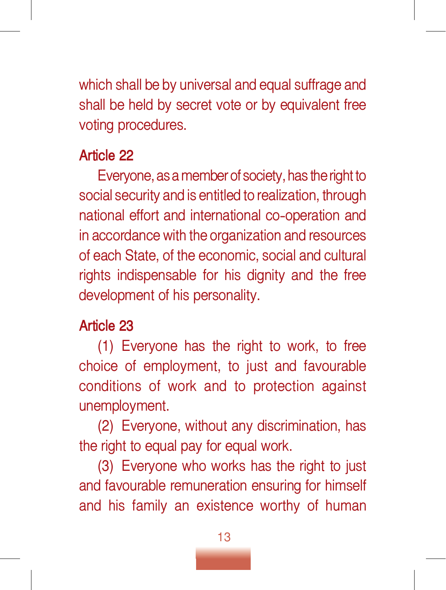which shall be by universal and equal suffrage and shall be held by secret vote or by equivalent free voting procedures.

### **Article 22**

Everyone, as a member of society, has the right to social security and is entitled to realization, through national effort and international co-operation and in accordance with the organization and resources of each State, of the economic, social and cultural rights indispensable for his dignity and the free development of his personality.

# **Article 23**

(1) Everyone has the right to work, to free choice of employment, to just and favourable conditions of work and to protection against unemployment.

(2) Everyone, without any discrimination, has the right to equal pay for equal work.

(3) Everyone who works has the right to just and favourable remuneration ensuring for himself and his family an existence worthy of human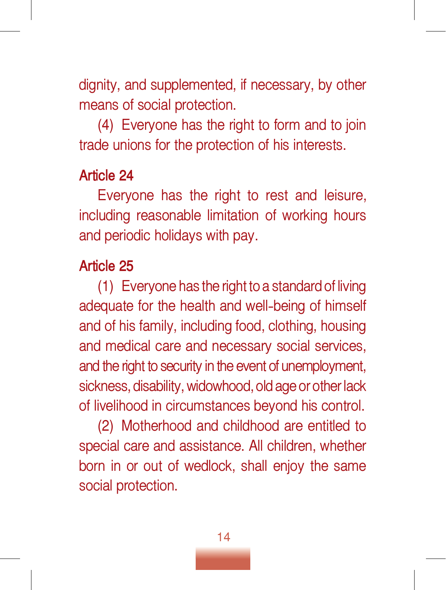dignity, and supplemented, if necessary, by other means of social protection.

(4) Everyone has the right to form and to join trade unions for the protection of his interests.

#### **Article 24**

Everyone has the right to rest and leisure, including reasonable limitation of working hours and periodic holidays with pay.

#### **Article 25**

(1) Everyone has the right to a standard of living adequate for the health and well-being of himself and of his family, including food, clothing, housing and medical care and necessary social services, and the right to security in the event of unemployment, sickness, disability, widowhood, old age or other lack of livelihood in circumstances beyond his control.

(2) Motherhood and childhood are entitled to special care and assistance. All children, whether born in or out of wedlock, shall enjoy the same social protection.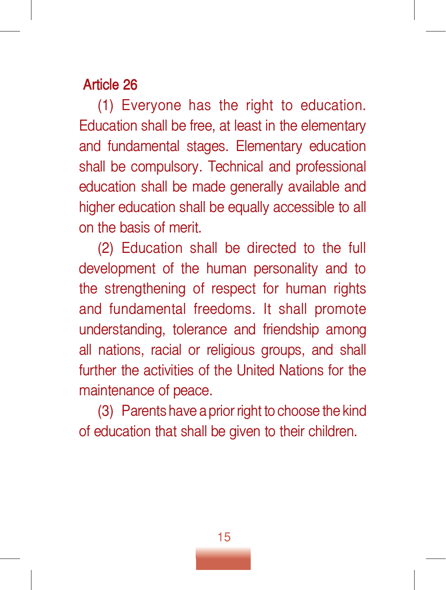(1) Everyone has the right to education. Education shall be free, at least in the elementary and fundamental stages. Elementary education shall be compulsory. Technical and professional education shall be made generally available and higher education shall be equally accessible to all on the basis of merit.

(2) Education shall be directed to the full development of the human personality and to the strengthening of respect for human rights and fundamental freedoms. It shall promote understanding, tolerance and friendship among all nations, racial or religious groups, and shall further the activities of the United Nations for the maintenance of peace.

(3) Parents have a prior right to choose the kind of education that shall be given to their children.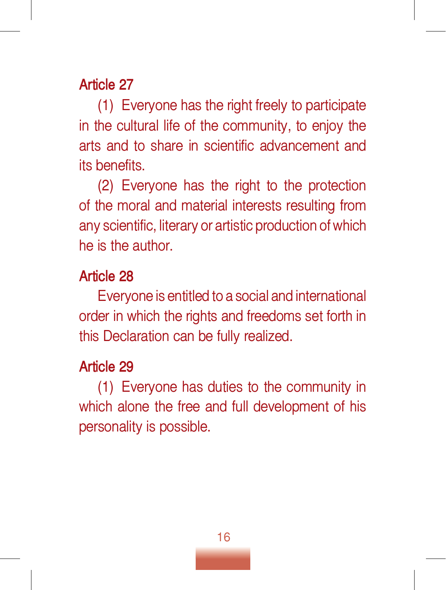(1) Everyone has the right freely to participate in the cultural life of the community, to enjoy the arts and to share in scientific advancement and its benefits.

(2) Everyone has the right to the protection of the moral and material interests resulting from any scientific, literary or artistic production of which he is the author.

#### **Article 28**

Everyone is entitled to a social and international order in which the rights and freedoms set forth in this Declaration can be fully realized.

#### **Article 29**

(1) Everyone has duties to the community in which alone the free and full development of his personality is possible.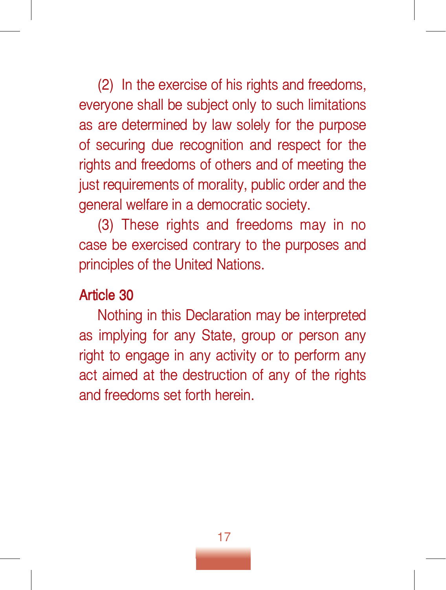(2) In the exercise of his rights and freedoms, everyone shall be subject only to such limitations as are determined by law solely for the purpose of securing due recognition and respect for the rights and freedoms of others and of meeting the just requirements of morality, public order and the general welfare in a democratic society.

(3) These rights and freedoms may in no case be exercised contrary to the purposes and principles of the United Nations.

#### **Article 30**

Nothing in this Declaration may be interpreted as implying for any State, group or person any right to engage in any activity or to perform any act aimed at the destruction of any of the rights and freedoms set forth herein.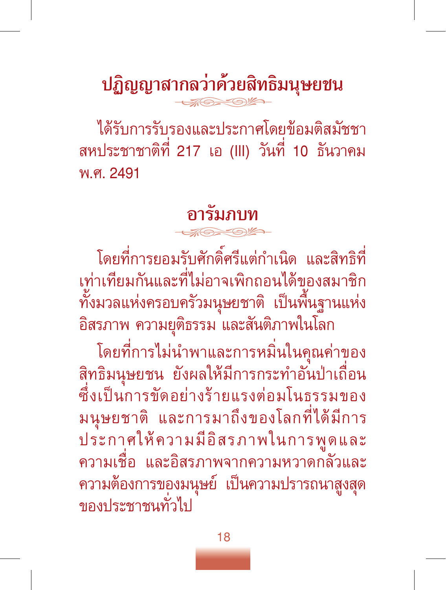**ปฏิญญาสากลว่าด้วยสิทธิมนุษยชน**

ได้รับการรับรองและประกาศโดยข้อมติสมัชชา สหประชาชาติที่ 217 เอ (III) วันที่ 10 ธันวาคม พ.ศ. 2491

**อารัมภบท**

โดยที่การยอมรับศักดิ์ศรีแต่กำเนิด และสิทธิที่ เท่าเทียมกันและที่ไม่อาจเพิกถอนได้ของสมาชิก ทั้งมวลแห่งครอบครัวมนุษยชาติ เป็นพื้นฐานแห่ง อิสรภาพ ความยุติธรรม และสันติภาพในโลก

โดยที่การไม่นำพาและการหมิ่นในคุณค่าของ สิทธิมนุษยชน ยังผลให้มีการกระทำอันป่าเถื่อน ซึ่งเป็นการขัดอย่างร้ายแรงต่อมโนธรรมของ มนุษยชาติ และการมาถึงของโลกที่ได้มีการ ประกาศให้ความมีอิสรภาพในการพูดและ ความเชื่อ และอิสรภาพจากความหวาดกลัวและ ความต้องการของมนุษย์ เป็นความปรารถนาสูงสุด ของประชาชนทั่วไป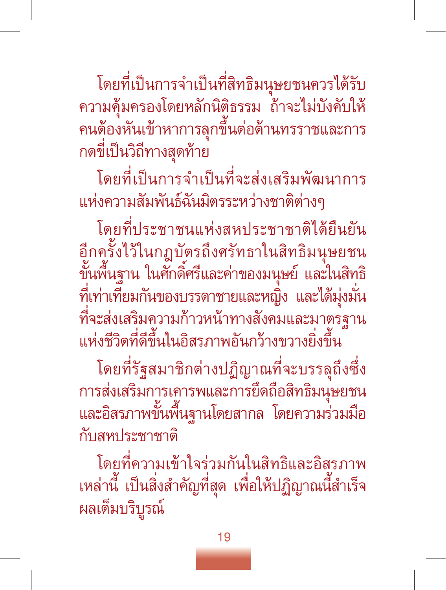โดยที่เป็นการจำเป็นที่สิทธิมนุษยชนควรได้รับ ความคุ้มครองโดยหลักนิติธรรม ถ้าจะไม่บังคับให้ คนต้องหันเข้าหาการลุกขึ้นต่อต้านทรราชและการ กดขี่เป็นวิถีทางสุดท้าย

โดยที่เป็นการจำเป็นที่จะส่งเสริมพัฒนาการ แห่งความสัมพันธ์ฉันมิตรระหว่างชาติต่างๆ

โดยที่ประชาชนแห่งสหประชาชาติได้ยืนยัน อีกครั้งไว้ในกฎบัตรถึงศรัทธาในสิทธิมนุษยชน ี<br>ขั้นพื้นฐาน ในศักดิ์ศรีและค่าของมนุษย์ และในสิทธิ ที่เท่าเทียมกันของบรรดาชายและหญิง และได้มุ่งมั่น ที่จะส่งเสริมความก้าวหน้าทางสังคมและมาตรฐ แห่งชีวิตที่ดีขึ้นในอิสรภาพอันกว้างขวางยิ่งขึ้น

โดยที่รัฐสมาชิกต่างปฏิญาณที่จะบรรลุถึงซึ่ง การส่งเสริมการเคารพและการยึดถือสิทธิมนุษยชน และอิสรภาพขั้นพื้นฐานโดยสากล โดยความร่วมมือ กับสหประชาชาติ

โดยที่ความเข้าใจร่วมกันในสิทธิและอิสรภาพ เหล่านี้ เป็นสิ่งสำคัญที่สุด เพื่อให้ปฏิญาณนี้สำเร็จ ผลเต็มบริบูรณ์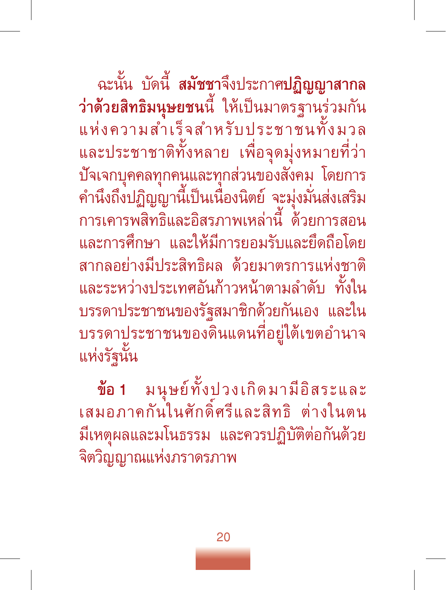ฉะนั้น บัดนี้ **สมัชชา**จึงประกาศ**ปฏิญญาสากล ว่าด้วยสิทธิมนุษยชน**นี้ ให้เป็นมาตร<sup>ั</sup>ฐานร่วมกัน<br>แห่งความสำเร็จสำหรับประชาชนทั้งมวล และประชาชาติทั้งหลาย เพื่อจุดมุ่งหมายที่ว่า ปัจเจกบุคคลทุกคนและทุกส่วนของสังคม โดยการ คำนึงถึงปฏิญญานี้เป็นเนืองนิตย์ จะมุ่งมั่นส่งเสริม การเคารพสิทธิและอิสรภาพเหล่านี้ ด้วยการสอน และการศึกษา และให้มีการยอมรับและยึดถือโดย สากลอย่างมีประสิทธิผล ด้วยมาตรการแห่งชาติ และระหว่างประเทศอันก้าวหน้าตามลำดับ ทั้งใน บรรดาประชาชนของรัฐสมาชิกด้วยกันเอง และใน บรรดาประชาชนของดินแดนที่อยู่ใต้เขตอำนาจ แห่งรัฐนั้น

**ข้อ 1** มนุษย์ทั้งปวงเกิดมามีอิสระและ เสมอภาคกันในศักดิ์ศรีและสิทธิ ต่างในตน มีเหตุผลและมโนธรรม และควรปฏิบัติต่อกันด้วย จิตวิญญาณแห่งภราดรภาพ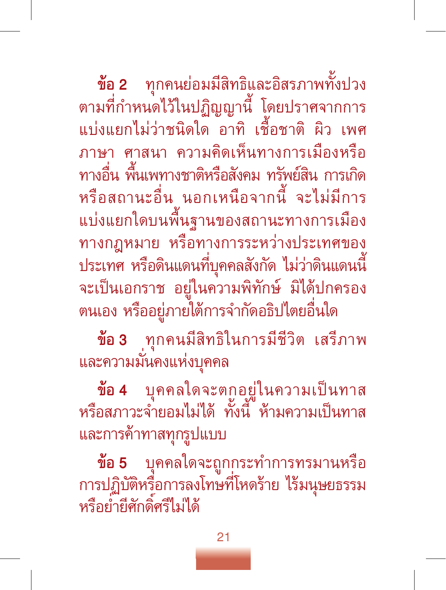**ข้อ 2** ทุกคนย่อมมีสิทธิและอิสรภาพทั้งปวง ตามที่กำหนดไว้ในปฏิญญานี้ โดยปราศจากการ แบ่งแยกไม่ว่าชนิดใด อาทิ เชื้อชาติ ผิว เพศ ภาษา ศาสนา ความคิดเห็นทางการเมืองหรือ ทางอื่น พื้นเพทางชาติหรือสังคม ทรัพย์สิน การเกิด หรือสถานะอื่น นอกเหนือจากนี้ จะไม่มีการ แบ่งแยกใดบนพื้นฐานของสถานะทางการเมือง ทางกฎหมาย หรือทางการระหว่างประเทศของ<br>ประเทศ หรือดินแดนที่บุคคลสังกัด ไม่ว่าดินแดนนี้ จะเป็นเอกราช อยู่ในความพิทักษ์ มิได้ปกครอง ตนเอง หรืออยู่ภายใต้การจำกัดอธิปไตยอื่นใด

**ข้อ 3** ทุกคนมีสิทธิในการมีชีวิต เสรีภาพ และความมั่นคงแห่งบุคคล

**ข้อ 4** บุคคลใดจะตกอยู่ในความเป็นทาส หรือสภาวะจำยอมไม่ได้ ทั้งนี้ ห้ามความเป็นทาส และการค้าทาสทุกรูปแบบ

**ข้อ 5** บุคคลใดจะถูกกระทำการทรมานหรือ การปฏิบัติหรือการลงโทษที่โหดร้าย ไร้มนุษยธรรม หรือย่ำยีศักดิ์ศรีไม่ได้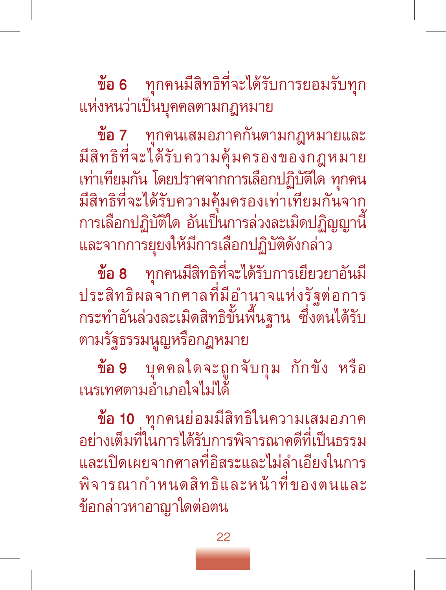**ข้อ 6** ทุกคนมีสิทธิที่จะได้รับการยอมรับทุก แห่งหนว่าเป็นบุคคลตามกฎหมาย

**ข้อ 7** ทุกคนเสมอภาคกันตามกฎหมายและ มีสิทธิที่จะได้รับความคุ้มครองของกฎหมาย เท่าเทียมกัน โดยปราศจากการเลือกปฏิบัติใด ทุกคน มีสิทธิที่จะได้รับความคุ้มครองเท่าเทียมกันจาก การเลือกปฏิบัติใด อันเป็นการล่วงละเมิดปฏิญญานี้ และจากการยุยงให้มีการเลือกปฏิบัติดังกล่าว

**ข้อ 8** ทุกคนมีสิทธิที่จะได้รับการเยียวยาอันมี ประสิทธิผลจากศาลที่มีอำนาจแห่งรัฐต่อการ กระทำอันล่วงละเมิดสิทธิขั้นพื้นฐาน ซึ่งตนได้รับ ตามรัฐธรรมนูญหรือกฎหมาย

**ข้อ 9** บุคคลใดจะถูกจับกุม กักขัง หรือ เนรเทศตามอำเภอใจไม่ได้

**ข้อ 10** ทุกคนย่อมมีสิทธิในความเสมอภาค อย่างเต็มที่ในการได้รับการพิจารณาคดีที่เป็นธรรม และเปิดเผยจากศาลที่อิสระและไม่ลำเอียงในการ พิจารณากำหนดสิทธิและหน้าที่ของตนและ ข้อกล่าวหาอาญาใดต่อตน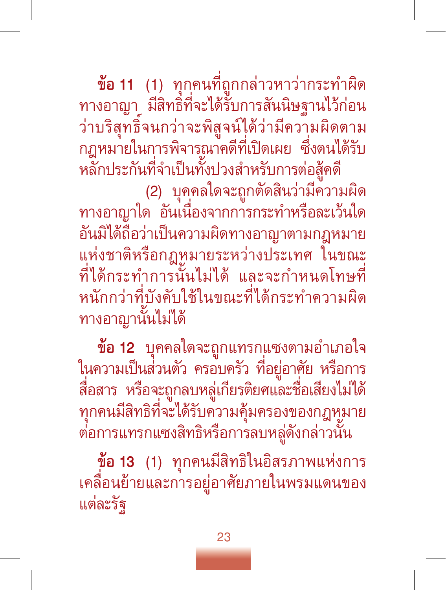**ข้อ 11** (1) ทุกคนที่ถูกกล่าวหาว่ากระทำผิด ทางอาญา มีสิทธิที่จะได้รับการสันนิษฐานไว้ก่อน ว่าบริสุทธิ์จนกว่าจะพิสูจน์ได้ว่ามีความผิดตาม กฎหมายในการพิจารณาคดีที่เปิดเผย ซึ่งตนได้รับ

หลักประกันที่จำเป็นทั้งปวงสำหรับการต่อสู้คดี<br>(2) บุคฺคลใดจะถูกตัดสินว่ามีความผิด

้ทางอาญาใด อันเนื่องจากการกระทำหรือละเว้นใด อันมิได้ถือว่าเป็นความผิดทางอาญาตามกฎหมาย แห่งชาติหรือกฎหมายระหว่างประเทศ ในขณะ ที่ได้กระทำการนั้นไม่ได้ และจะกำหนดโทษที่ หนักกว่าที่บังคับใช้ในขณะที่ได้กระทำความผิด ทางอาญานั้นไม่ได้

**ข้อ 12** บุคคลใดจะถูกแทรกแซงตามอำเภอใจ ในความเป็นส่วนตัว ครอบครัว ที่อยู่อาศัย หรือการ สื่อสาร หรือจะถูกลบหลู่เกียรติยศและชื่อเสียงไม่ได้ ทุกคนมีสิทธิที่จะได้รับความคุ้มครองของกฎหมาย ต่อการแทรกแซงสิทธิหรือการลบหลู่ดังกล่าวนั้น

**ข้อ 13** (1) ทุกคนมีสิทธิในอิสรภาพแห่งการ เคลื่อนย้ายและการอยู่อาศัยภายในพรมแดนของ แต่ละรัฐ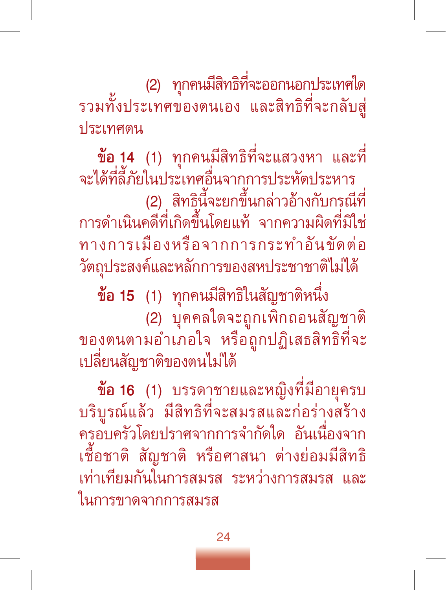(2) ทุกคนมีสิทธิที่จะออกนอกประเทศใด รวมทั้งประเทศของตนเอง และสิทธิที่จะกลับสู่ ประเทศตน

**ข้อ 14** (1) ทุกคนมีสิทธิที่จะแสวงหา และที่ จะได้ที่ลี้ภัยในประเทศอื่นจากการประหัตประหาร

(2) สิทธินี้จะยกขึ้นกล่าวอ้างกับกรณีที่ การดำเนินคดีที่เกิดขึ้นโดยแท้ จากความผิดที่มิใช่ ทางการเมืองหรือจากการกระทำอันขัดต่อ วัตถุประสงค์และหลักการของสหประชาชาติไม่ได้

**ข้อ 15** (1) ทุกคนมีสิทธิในสัญชาติหนึ่ง (2) บุคคลใดจะถูกเพิกถอนสัญชาติ ของตนตามอำเภอใจ หรือถูกปฏิเสธสิทธิที่จะ เปลี่ยนสัญชาติของตนไม่ได้

**ข้อ 16** (1) บรรดาชายและหญิงที่มีอายุครบ บริบูรณ์แล้ว มีสิทธิที่จะสมรสและก่อร่างสร้าง ครอบครัวโดยปราศจากการจำกัดใด อันเนื่องจาก เชื้อชาติ สัญชาติ หรือศาสนา ต่างย่อมมีสิทธิ เท่าเทียมกันในการสมรส ระหว่างการสมรส ในการขาดจากการสมรส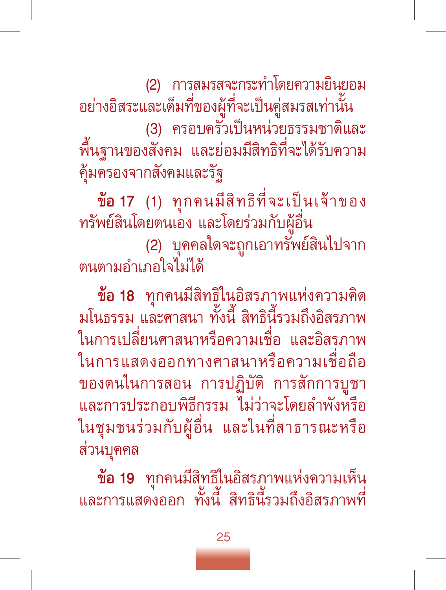(2) การสมรสจะกระทำโดยความยินยอม อย่างอิสระและเต็มที่ของผู้ที่จะเป็นคู่สมรสเท่านั้น (3) ครอบครัวเป็นหน่วยธรรมชาติและ พื้นฐานของสังคม และย่อมมีสิทธิที่จะได้รับความ คุ้มครองจากสังคมและรัฐ

**ข้อ 17** (1) ทุกคนมีสิทธิที่จะเป็นเจ้าของ ทรัพย์สินโดยตนเอง และโดยร่วมกับผู้อื่น (2) บุคคลใดจะถูกเอาทรัพย์สินไปจาก ตนตามอำเภอใจไม่ได้

**ข้อ 18** ทุกคนมีสิทธิในอิสรภาพแห่งความคิด มโนธรรม และศาสนา ทั้งนี้ สิทธินี้รวมถึงอิสรภาพ<br>\* ในการเปลี่ยนศาสนาหรือความเชื่อ และอิสรภาพ ในการแสดงออกทางศาสนาหรือความเชื่อถือ ของตนในการสอน การปฏิบัติการสักการบูชา และการประกอบพิธีกรรม ไม่ว่าจะโดยลำพังหรือ ในชุมชนร่วมกับผู้อื่น และในที่สาธารณะหรือ ส่วนบุคคล

**ข้อ 19** ทุกคนมีสิทธิในอิสรภาพแห่งความเห็น และการแสดงออก ทั้งนี้ สิทธินี้รวมถึงอิสรภาพท<mark>ี</mark>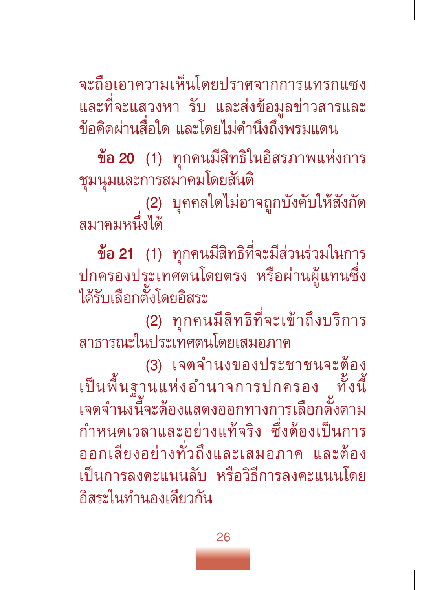จะถือเอาความเห็นโดยปราศจากการแทรกแซง และที่จะแสวงหา รับ และส่งข้อมูลข่าวสารและ ข้อคิดผ่านสื่อใด และโดยไม่คำนึงถึงพรมแดน

**ข้อ 20** (1) ทุกคนมีสิทธิในอิสรภาพแห่งการ ชุมนุมและการสมาคมโดยสันติ

(2) บุคคลใดไม่อาจถูกบังคับให้สังกัด สมาคมหนึ่งได้

**ข้อ 21** (1) ทุกคนมีสิทธิที่จะมีส่วนร่วมในการ ปกครองประเทศตนโดยตรง หรือผ่านผู้แทนซึ่ง ได้รับเลือกตั้งโดยอิสระ

(2) ทุกคนมีสิทธิที่จะเข้าถึงบริการ สาธารณะในประเทศตนโดยเสมอภาค

(3) เจตจำนงของประชาชนจะต้อง เป็นพื้นฐานแห่งอำนาจการปกครอง ทั้งนี้ เจตจำนงนี้จะต้องแสดงออกทางการเลือกตั้งตาม กำหนดเวลาและอย่างแท้จริง ซึ่งต้องเป็นการ ออกเสียงอย่างทั่วถึงและเสมอภาค และต้อง เป็นการลงคะแนนลับ หรือวิธีการลงคะแนนโดย อิสระในทำนองเดียวกัน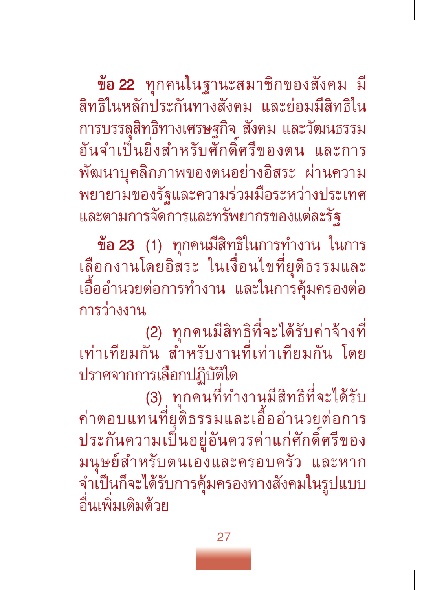**ข้อ 22** ทุกคนในฐานะสมาชิกของสังคม มี สิทธิในหลักประกันทางสังคม และย่อมมีสิทธิใน การบรรลุสิทธิทางเศรษฐกิจ สังคม และวัฒนธรรม อันจำเป็นยิ่งสำหรับศักดิ์ศรีของตน และการ พัฒนาบุคลิกภาพของตนอย่างอิสระ ผ่านความ พยายามของรัฐและความร่วมมือระหว่างประเทศ และตามการจัดการและทรัพยากรของแต่ละรัฐ

**ข้อ 23** (1) ทุกคนมีสิทธิในการทำงาน ในการ เลือกงานโดยอิสระ ในเงื่อนไขที่ยุติธรรมและ เอื้ออำนวยต่อการทำงาน และในการคุ้มครองต่อ การว่างงาน

(2) ทุกคนมีสิทธิที่จะได้รับค่าจ้างที่ เท่าเทียมกัน สำหรับงานที่เท่าเทียมกัน โดย ปราศจากการเลือกปฏิบัติใด<br>(3) ทุกคนที่ทำงานมีสิทธิที่จะได้รับ

(3) ทุกคนที่ทำงานมีสิทธิที่จะได้รับ ค่าตอบแทนที่ยุติธรรมและเอื้ออำนวยต่อการ ประกันความเป็นอยู่อันควรค่าแก่ศักดิ์ศรีของ มนุษย์สำหรับตนเองและครอบครัว และหาก จำเป็นก็จะได้รับการคุ้มครองทางสังคมในรูปแบบ อื่นเพิ่มเติมด้วย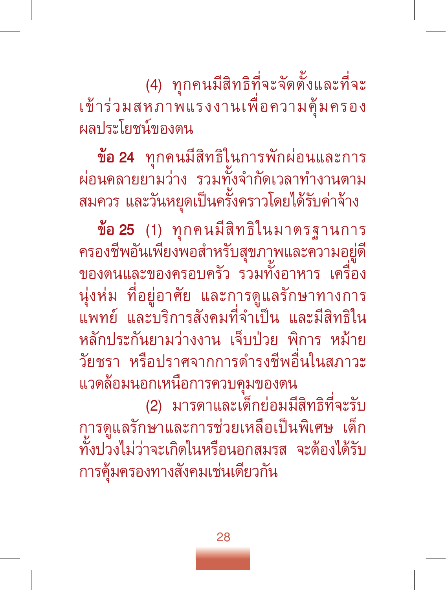(4) ทุกคนมีสิทธิที่จะจัดตั้งและที่จะ เข้าร่วมสหภาพแรงงานเพื่อความคุ้มครอง ผลประโยชน์ของตน

**ข้อ 24** ทุกคนมีสิทธิในการพักผ่อนและการ ผ่อนคลายยามว่าง รวมทั้งจำกัดเวลาทำงานตาม ................<br>สมควร และวันหยุดเป็นครั้งคราวโดยได้รับค่าจ้าง

**ข้อ 25** (1) ทุกคนมีสิทธิในมาตรฐานการ ครองชีพอันเพียงพอสำหรับสุขภาพและความอยู่ดี ของตนและของครอบครัว รวมทั้งอาหาร เครื่อง นุ่งห่ม ที่อยู่อาศัย และการดูแลรักษาทางการ แพทย์ และบริการสังคมที่จำเป็น และมีสิทธิใน หลักประกันยามว่างงาน เจ็บป่วย พิการ หม้าย วัยชรา หรือปราศจากการดำรงชีพอื่นในสภาวะ แวดล้อมนอกเหนือการควบคุมของตน

(2) มารดาและเด็กย่อมมีสิทธิที่จะรับ การดูแลรักษาและการช่วยเหลือเป็นพิเศษ เด็ก ทั้งปวงไม่ว่าจะเกิดในหรือนอกสมรส จะต้องได้รับ การคุ้มครองทางสังคมเช่นเดียวกัน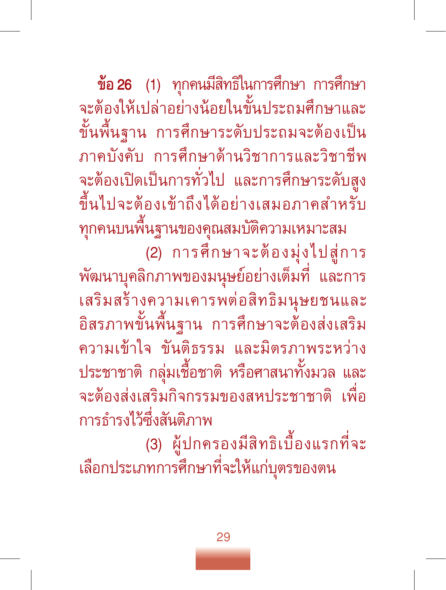**ข้อ 26** (1) ทุกคนมีสิทธิในการศึกษา การศึกษา จะต้องให้เปล่าอย่างน้อยในขั้นประถมศึกษาและ ขั้นพื้นฐาน การศึกษาระดับประถมจะต้องเป็น ภาคบังคับ การศึกษาด้านวิชาการและวิชาชีพ<br>จะต้องเปิดเป็นการทั่วไป และการศึกษาระดับสูง ขึ้นไปจะต้องเข้าถึงได้อย่างเสมอภาคสำหรับ

ทุกคนบนพื้นฐานของคุณสมบัติความเหมาะสม (2) การศึกษาจะต้องมุ่งไปสู่การ พัฒนาบุคลิกภาพของมนุษย์อย่างเต็มที่ และการ เสริมสร้างความเคารพต่อสิทธิมนุษยชนและ อิสรภาพขั้นพื้นฐาน การศึกษาจะต้องส่งเสริม ความเข้าใจ ขันติธรรม และมิตรภาพระหว่าง ประชาชาติกลุ่มเชื้อชาติหรือศาสนาทั้งมวล และ จะต้องส่งเสริมกิจกรรมของสหประชาชาติเพื่อ การธำรงไว้ซึ่งสันติภาพ

 (3) ผู้ปกครองมีสิทธิเบื้องแรกที่จะ เลือกประเภทการศึกษาที่จะให้แก่บุตรของตน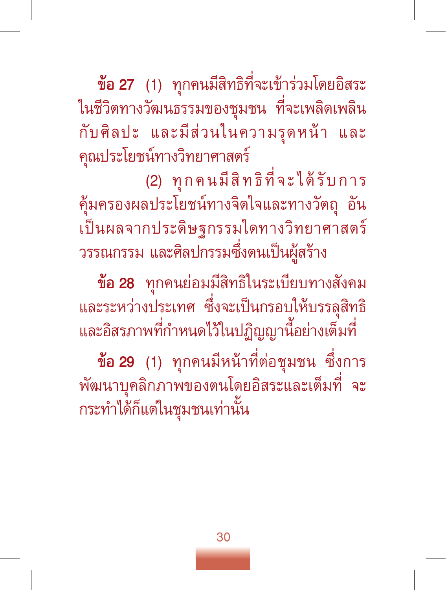**ข้อ 27** (1) ทุกคนมีสิทธิที่จะเข้าร่วมโดยอิสระ ในชีวิตทางวัฒนธรรมของชุมชน ที่จะเพลิดเพลิน กับศิลปะ และมีส่วนในความรุดหน้า และ คุณประโยชน์ทางวิทยาศาสตร์

(2) ทุกคนมีสิทธิที่จะได้รับการ คุ้มครองผลประโยชน์ทางจิตใจและทางวัตถุ อัน เป็นผลจากประดิษฐกรรมใดทางวิทยาศาสตร์ วรรณกรรม และศิลปกรรมซึ่งตนเป็นผู้สร้าง

**ข้อ 28** ทุกคนย่อมมีสิทธิในระเบียบทางสังคม และระหว่างประเทศ ซึ่งจะเป็นกรอบให้บรรลุสิทธิ และอิสรภาพที่กำหนดไว้ในปฏิญญานี้อย่างเต็มที่

**ข้อ 29** (1) ทุกคนมีหน้าที่ต่อชุมชน ซึ่งการ พัฒนาบุคลิกภาพของตนโดยอิสระและเต็มที่ จะ กระทำได้ก็แต่ในชุมชนเท่านั้น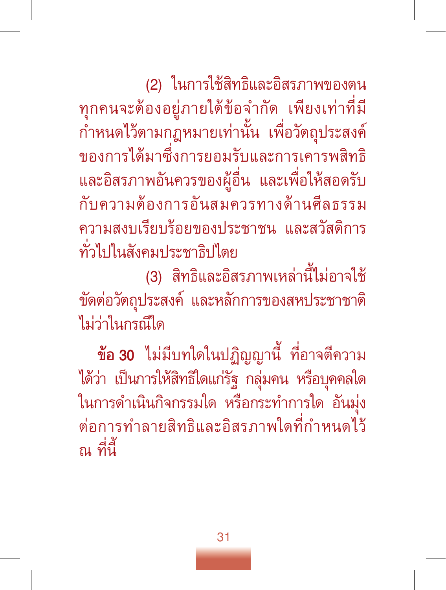(2) ในการใช้สิทธิและอิสรภาพของตน ทุกคนจะต้องอยู่ภายใต้ข้อจำกัด เพียงเท่าที่มี กำหนดไว้ตามกฎหมายเท่านั้น เพื่อวัตถุประสงค์ ของการได้มาซึ่งการยอมรับและการเคารพสิทธิ และอิสรภาพอันควรของผู้อื่น และเพื่อให้สอดรับ กับความต้องการอันสมควรทางด้านศีลธรรม ความสงบเรียบร้อยของประชาชน และสวัสดิการ ทั่วไปในสังคมประชาธิปไตย

(3) สิทธิและอิสรภาพเหล่านี้ไม่อาจใช้ ขัดต่อวัตถุประสงค์ และหลักการของสหประชาชาติ ไม่ว่าในกรณีใด

**ข้อ 30** ไม่มีบทใดในปฏิญญานี้ ที่อาจตีความ ได้ว่า เป็นการให้สิทธิใดแก่รัฐ กลุ่มคน หรือบุคคลใด ในการดำเนินกิจกรรมใด หรือกระทำการใด อันมุ่ง ต่อการทำลายสิทธิและอิสรภาพใดที่กำหนดไว้ ณ ที่นี้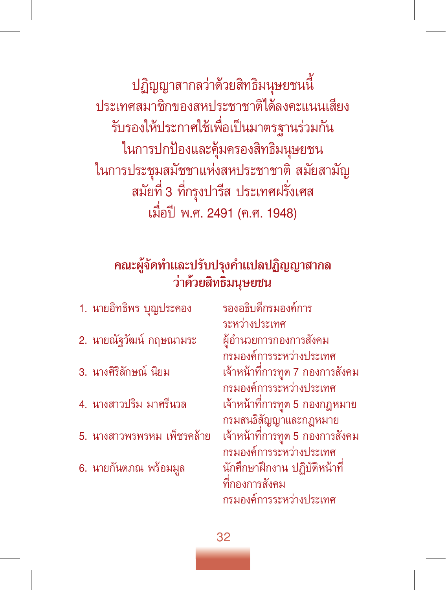ปฏิญญาสากลว่าด้วยสิทธิมนุษยชนนี้ ประเทศสมาชิกของสหประชาชาติได้ลงคะแนนเสียง รับรองให้ประกาศใช้เพื่อเป็นมาตรฐานร่วมกัน ในการปกป้องและคุ้มครองสิทธิมนุษยชน ในการประชุมสมัชชาแห่งสหประชาชาติ สมัยสามัญ<br>สมัยที่ 3 ที่กรุงปารีส ประเทศฝรั่งเศส เมื่อปี พ.ศ. 2491 (ค.ศ. 1948)

#### **คณะผู้จัดทำและปรับปรุงคำแปลปฏิญญาสากล ว่าด้วยสิทธิมนุษยชน**

| 1. นายอิทธิพร บุญประคอง    | รองอร์<br>ระหว่า         |
|----------------------------|--------------------------|
| 2. นายณัฐวัฒน์ กฤษณามระ    | ผู้อำน                   |
| 3. นางศิริลักษณ์ นิยม      | กรมอ<br>เจ้าหน้          |
| 4. นางสาวปริม มาศรีนวล     | กรมอ<br>เจ้าหน้          |
| 5. นางสาวพรพรหม เพ็ชรคล้าย | กรมส<br>เจ้าหน้          |
| 6. นายกันตภณ พร้อมมูล      | กรมอ<br>นักศึก<br>ที่กอง |
|                            |                          |

ธิบดีกรมองค์การ างประเทศ ฉยการกองการสังคม งค์การระหว่างประเทศ น้าที่การทูต 7 กองการสังคม งค์การระหว่างประเทศ น้าที่การทูต 5 กองกฎหมาย นธิสัญญาและกฎหมาย น้าที่การทูต 5 กองการสังคม งค์การระหว่างประเทศ เษาฝึกงาน ปฏิบัติหน้าที่ ที่กองการสังคม กรมองค์การระหว่างประเทศ